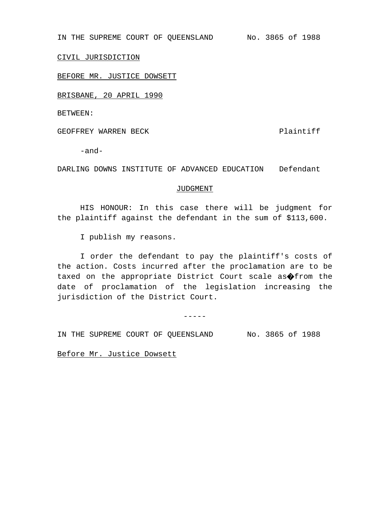IN THE SUPREME COURT OF QUEENSLAND No. 3865 of 1988

CIVIL JURISDICTION

BEFORE MR. JUSTICE DOWSETT

BRISBANE, 20 APRIL 1990

BETWEEN:

GEOFFREY WARREN BECK **Plaintiff** 

-and-

DARLING DOWNS INSTITUTE OF ADVANCED EDUCATION Defendant

## JUDGMENT

HIS HONOUR: In this case there will be judgment for the plaintiff against the defendant in the sum of \$113,600.

I publish my reasons.

I order the defendant to pay the plaintiff's costs of the action. Costs incurred after the proclamation are to be taxed on the appropriate District Court scale as�from the date of proclamation of the legislation increasing the jurisdiction of the District Court.

-----

IN THE SUPREME COURT OF QUEENSLAND No. 3865 of 1988

Before Mr. Justice Dowsett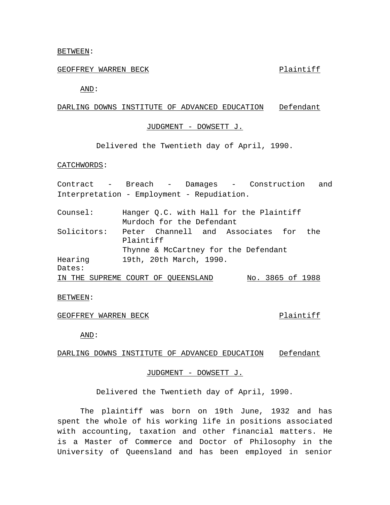## BETWEEN:

# GEOFFREY WARREN BECK **Plaintiff**

AND:

# DARLING DOWNS INSTITUTE OF ADVANCED EDUCATION Defendant

# JUDGMENT - DOWSETT J.

Delivered the Twentieth day of April, 1990.

## CATCHWORDS:

|             | Contract - Breach - Damages - Construction and              |
|-------------|-------------------------------------------------------------|
|             | Interpretation - Employment - Repudiation.                  |
| Counsel:    | Hanger Q.C. with Hall for the Plaintiff                     |
|             | Murdoch for the Defendant                                   |
| Solicitors: | Peter Channell and Associates for the<br>Plaintiff          |
|             | Thynne & McCartney for the Defendant                        |
| Hearing     | 19th, 20th March, 1990.                                     |
| Dates:      |                                                             |
|             | $M_0$ 2065 of 1000<br>TNI TULE CUIDREME COUPE OF OURRMOLAND |

#### IN THE SUPREME COURT OF QUEENSLAND No. 3865 of 1988

### BETWEEN:

# GEOFFREY WARREN BECK **Plaintiff**

AND:

DARLING DOWNS INSTITUTE OF ADVANCED EDUCATION Defendant

# JUDGMENT - DOWSETT J.

Delivered the Twentieth day of April, 1990.

The plaintiff was born on 19th June, 1932 and has spent the whole of his working life in positions associated with accounting, taxation and other financial matters. He is a Master of Commerce and Doctor of Philosophy in the University of Queensland and has been employed in senior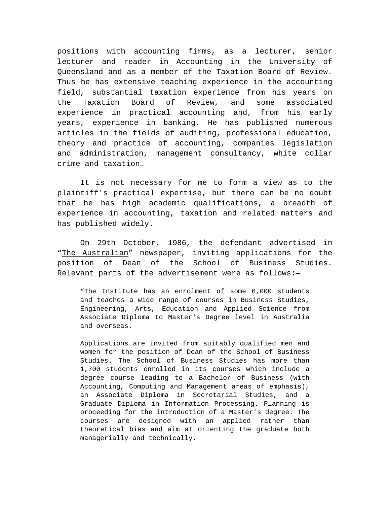positions with accounting firms, as a lecturer, senior lecturer and reader in Accounting in the University of Queensland and as a member of the Taxation Board of Review. Thus he has extensive teaching experience in the accounting field, substantial taxation experience from his years on the Taxation Board of Review, and some associated experience in practical accounting and, from his early years, experience in banking. He has published numerous articles in the fields of auditing, professional education, theory and practice of accounting, companies legislation and administration, management consultancy, white collar crime and taxation.

It is not necessary for me to form a view as to the plaintiff's practical expertise, but there can be no doubt that he has high academic qualifications, a breadth of experience in accounting, taxation and related matters and has published widely.

On 29th October, 1986, the defendant advertised in "The Australian" newspaper, inviting applications for the position of Dean of the School of Business Studies. Relevant parts of the advertisement were as follows:—

"The Institute has an enrolment of some 6,000 students and teaches a wide range of courses in Business Studies, Engineering, Arts, Education and Applied Science from Associate Diploma to Master's Degree level in Australia and overseas.

Applications are invited from suitably qualified men and women for the position of Dean of the School of Business Studies. The School of Business Studies has more than 1,700 students enrolled in its courses which include a degree course leading to a Bachelor of Business (with Accounting, Computing and Management areas of emphasis), an Associate Diploma in Secretarial Studies, and a Graduate Diploma in Information Processing. Planning is proceeding for the introduction of a Master's degree. The courses are designed with an applied rather than theoretical bias and aim at orienting the graduate both managerially and technically.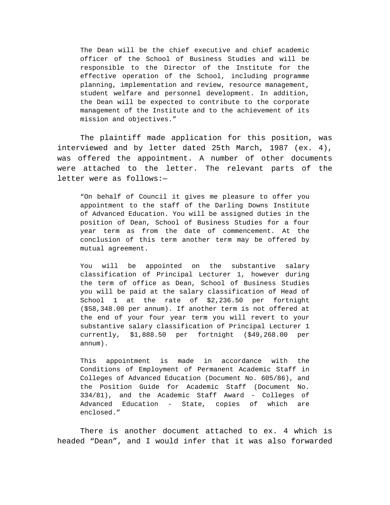The Dean will be the chief executive and chief academic officer of the School of Business Studies and will be responsible to the Director of the Institute for the effective operation of the School, including programme planning, implementation and review, resource management, student welfare and personnel development. In addition, the Dean will be expected to contribute to the corporate management of the Institute and to the achievement of its mission and objectives."

The plaintiff made application for this position, was interviewed and by letter dated 25th March, 1987 (ex. 4), was offered the appointment. A number of other documents were attached to the letter. The relevant parts of the letter were as follows:—

"On behalf of Council it gives me pleasure to offer you appointment to the staff of the Darling Downs Institute of Advanced Education. You will be assigned duties in the position of Dean, School of Business Studies for a four year term as from the date of commencement. At the conclusion of this term another term may be offered by mutual agreement.

You will be appointed on the substantive salary classification of Principal Lecturer 1, however during the term of office as Dean, School of Business Studies you will be paid at the salary classification of Head of School 1 at the rate of \$2,236.50 per fortnight (\$58,348.00 per annum). If another term is not offered at the end of your four year term you will revert to your substantive salary classification of Principal Lecturer 1 currently, \$1,888.50 per fortnight (\$49,268.00 per annum).

This appointment is made in accordance with the Conditions of Employment of Permanent Academic Staff in Colleges of Advanced Education (Document No. 605/86), and the Position Guide for Academic Staff (Document No. 334/81), and the Academic Staff Award - Colleges of Advanced Education - State, copies of which are enclosed."

There is another document attached to ex. 4 which is headed "Dean", and I would infer that it was also forwarded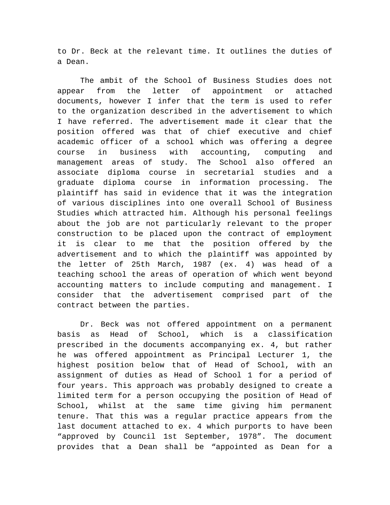to Dr. Beck at the relevant time. It outlines the duties of a Dean.

The ambit of the School of Business Studies does not appear from the letter of appointment or attached documents, however I infer that the term is used to refer to the organization described in the advertisement to which I have referred. The advertisement made it clear that the position offered was that of chief executive and chief academic officer of a school which was offering a degree course in business with accounting, computing and management areas of study. The School also offered an associate diploma course in secretarial studies and a graduate diploma course in information processing. The plaintiff has said in evidence that it was the integration of various disciplines into one overall School of Business Studies which attracted him. Although his personal feelings about the job are not particularly relevant to the proper construction to be placed upon the contract of employment it is clear to me that the position offered by the advertisement and to which the plaintiff was appointed by the letter of 25th March, 1987 (ex. 4) was head of a teaching school the areas of operation of which went beyond accounting matters to include computing and management. I consider that the advertisement comprised part of the contract between the parties.

Dr. Beck was not offered appointment on a permanent basis as Head of School, which is a classification prescribed in the documents accompanying ex. 4, but rather he was offered appointment as Principal Lecturer 1, the highest position below that of Head of School, with an assignment of duties as Head of School 1 for a period of four years. This approach was probably designed to create a limited term for a person occupying the position of Head of School, whilst at the same time giving him permanent tenure. That this was a regular practice appears from the last document attached to ex. 4 which purports to have been "approved by Council 1st September, 1978". The document provides that a Dean shall be "appointed as Dean for a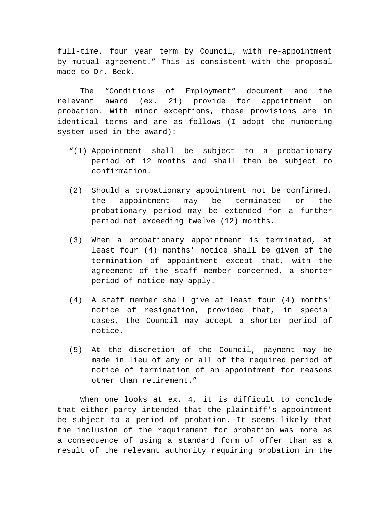full-time, four year term by Council, with re-appointment by mutual agreement." This is consistent with the proposal made to Dr. Beck.

The "Conditions of Employment" document and the relevant award (ex. 21) provide for appointment on probation. With minor exceptions, those provisions are in identical terms and are as follows (I adopt the numbering system used in the award):—

- "(1) Appointment shall be subject to a probationary period of 12 months and shall then be subject to confirmation.
- (2) Should a probationary appointment not be confirmed, the appointment may be terminated or the probationary period may be extended for a further period not exceeding twelve (12) months.
- (3) When a probationary appointment is terminated, at least four (4) months' notice shall be given of the termination of appointment except that, with the agreement of the staff member concerned, a shorter period of notice may apply.
- (4) A staff member shall give at least four (4) months' notice of resignation, provided that, in special cases, the Council may accept a shorter period of notice.
- (5) At the discretion of the Council, payment may be made in lieu of any or all of the required period of notice of termination of an appointment for reasons other than retirement."

When one looks at ex. 4, it is difficult to conclude that either party intended that the plaintiff's appointment be subject to a period of probation. It seems likely that the inclusion of the requirement for probation was more as a consequence of using a standard form of offer than as a result of the relevant authority requiring probation in the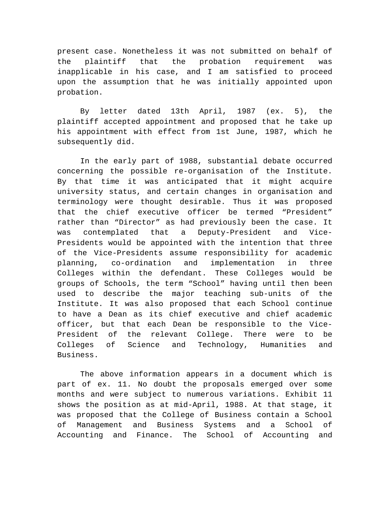present case. Nonetheless it was not submitted on behalf of the plaintiff that the probation requirement was inapplicable in his case, and I am satisfied to proceed upon the assumption that he was initially appointed upon probation.

By letter dated 13th April, 1987 (ex. 5), the plaintiff accepted appointment and proposed that he take up his appointment with effect from 1st June, 1987, which he subsequently did.

In the early part of 1988, substantial debate occurred concerning the possible re-organisation of the Institute. By that time it was anticipated that it might acquire university status, and certain changes in organisation and terminology were thought desirable. Thus it was proposed that the chief executive officer be termed "President" rather than "Director" as had previously been the case. It was contemplated that a Deputy-President and Vice-Presidents would be appointed with the intention that three of the Vice-Presidents assume responsibility for academic planning, co-ordination and implementation in three Colleges within the defendant. These Colleges would be groups of Schools, the term "School" having until then been used to describe the major teaching sub-units of the Institute. It was also proposed that each School continue to have a Dean as its chief executive and chief academic officer, but that each Dean be responsible to the Vice-President of the relevant College. There were to be Colleges of Science and Technology, Humanities and Business.

The above information appears in a document which is part of ex. 11. No doubt the proposals emerged over some months and were subject to numerous variations. Exhibit 11 shows the position as at mid-April, 1988. At that stage, it was proposed that the College of Business contain a School of Management and Business Systems and a School of Accounting and Finance. The School of Accounting and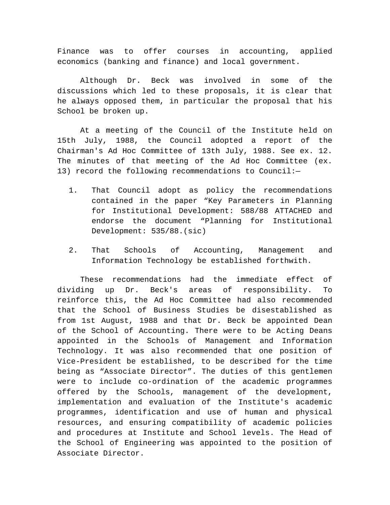Finance was to offer courses in accounting, applied economics (banking and finance) and local government.

Although Dr. Beck was involved in some of the discussions which led to these proposals, it is clear that he always opposed them, in particular the proposal that his School be broken up.

At a meeting of the Council of the Institute held on 15th July, 1988, the Council adopted a report of the Chairman's Ad Hoc Committee of 13th July, 1988. See ex. 12. The minutes of that meeting of the Ad Hoc Committee (ex. 13) record the following recommendations to Council:—

- 1. That Council adopt as policy the recommendations contained in the paper "Key Parameters in Planning for Institutional Development: 588/88 ATTACHED and endorse the document "Planning for Institutional Development: 535/88.(sic)
- 2. That Schools of Accounting, Management and Information Technology be established forthwith.

These recommendations had the immediate effect of dividing up Dr. Beck's areas of responsibility. To reinforce this, the Ad Hoc Committee had also recommended that the School of Business Studies be disestablished as from 1st August, 1988 and that Dr. Beck be appointed Dean of the School of Accounting. There were to be Acting Deans appointed in the Schools of Management and Information Technology. It was also recommended that one position of Vice-President be established, to be described for the time being as "Associate Director". The duties of this gentlemen were to include co-ordination of the academic programmes offered by the Schools, management of the development, implementation and evaluation of the Institute's academic programmes, identification and use of human and physical resources, and ensuring compatibility of academic policies and procedures at Institute and School levels. The Head of the School of Engineering was appointed to the position of Associate Director.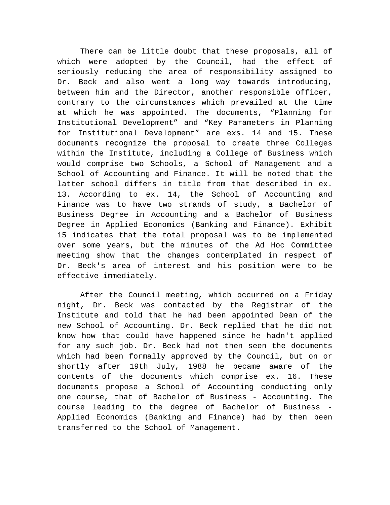There can be little doubt that these proposals, all of which were adopted by the Council, had the effect of seriously reducing the area of responsibility assigned to Dr. Beck and also went a long way towards introducing, between him and the Director, another responsible officer, contrary to the circumstances which prevailed at the time at which he was appointed. The documents, "Planning for Institutional Development" and "Key Parameters in Planning for Institutional Development" are exs. 14 and 15. These documents recognize the proposal to create three Colleges within the Institute, including a College of Business which would comprise two Schools, a School of Management and a School of Accounting and Finance. It will be noted that the latter school differs in title from that described in ex. 13. According to ex. 14, the School of Accounting and Finance was to have two strands of study, a Bachelor of Business Degree in Accounting and a Bachelor of Business Degree in Applied Economics (Banking and Finance). Exhibit 15 indicates that the total proposal was to be implemented over some years, but the minutes of the Ad Hoc Committee meeting show that the changes contemplated in respect of Dr. Beck's area of interest and his position were to be effective immediately.

After the Council meeting, which occurred on a Friday night, Dr. Beck was contacted by the Registrar of the Institute and told that he had been appointed Dean of the new School of Accounting. Dr. Beck replied that he did not know how that could have happened since he hadn't applied for any such job. Dr. Beck had not then seen the documents which had been formally approved by the Council, but on or shortly after 19th July, 1988 he became aware of the contents of the documents which comprise ex. 16. These documents propose a School of Accounting conducting only one course, that of Bachelor of Business - Accounting. The course leading to the degree of Bachelor of Business - Applied Economics (Banking and Finance) had by then been transferred to the School of Management.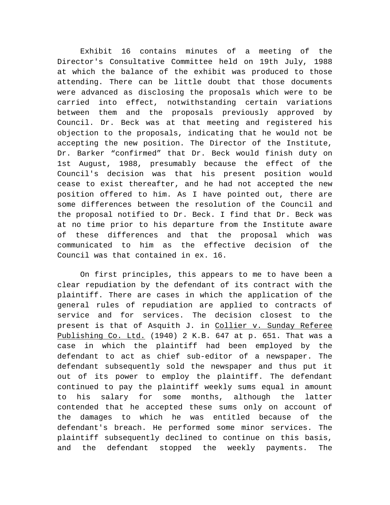Exhibit 16 contains minutes of a meeting of the Director's Consultative Committee held on 19th July, 1988 at which the balance of the exhibit was produced to those attending. There can be little doubt that those documents were advanced as disclosing the proposals which were to be carried into effect, notwithstanding certain variations between them and the proposals previously approved by Council. Dr. Beck was at that meeting and registered his objection to the proposals, indicating that he would not be accepting the new position. The Director of the Institute, Dr. Barker "confirmed" that Dr. Beck would finish duty on 1st August, 1988, presumably because the effect of the Council's decision was that his present position would cease to exist thereafter, and he had not accepted the new position offered to him. As I have pointed out, there are some differences between the resolution of the Council and the proposal notified to Dr. Beck. I find that Dr. Beck was at no time prior to his departure from the Institute aware of these differences and that the proposal which was communicated to him as the effective decision of the Council was that contained in ex. 16.

On first principles, this appears to me to have been a clear repudiation by the defendant of its contract with the plaintiff. There are cases in which the application of the general rules of repudiation are applied to contracts of service and for services. The decision closest to the present is that of Asquith J. in Collier v. Sunday Referee Publishing Co. Ltd. (1940) 2 K.B. 647 at p. 651. That was a case in which the plaintiff had been employed by the defendant to act as chief sub-editor of a newspaper. The defendant subsequently sold the newspaper and thus put it out of its power to employ the plaintiff. The defendant continued to pay the plaintiff weekly sums equal in amount to his salary for some months, although the latter contended that he accepted these sums only on account of the damages to which he was entitled because of the defendant's breach. He performed some minor services. The plaintiff subsequently declined to continue on this basis, and the defendant stopped the weekly payments. The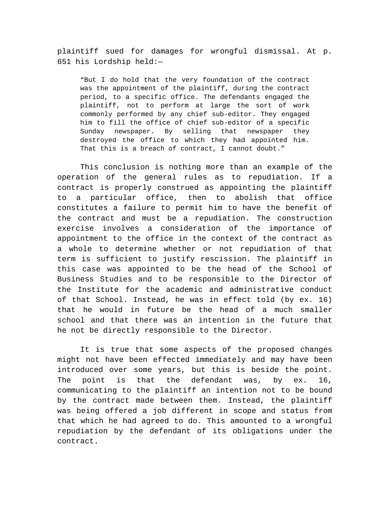plaintiff sued for damages for wrongful dismissal. At p. 651 his Lordship held:—

"But I do hold that the very foundation of the contract was the appointment of the plaintiff, during the contract period, to a specific office. The defendants engaged the plaintiff, not to perform at large the sort of work commonly performed by any chief sub-editor. They engaged him to fill the office of chief sub-editor of a specific Sunday newspaper. By selling that newspaper they destroyed the office to which they had appointed him. That this is a breach of contract, I cannot doubt."

This conclusion is nothing more than an example of the operation of the general rules as to repudiation. If a contract is properly construed as appointing the plaintiff to a particular office, then to abolish that office constitutes a failure to permit him to have the benefit of the contract and must be a repudiation. The construction exercise involves a consideration of the importance of appointment to the office in the context of the contract as a whole to determine whether or not repudiation of that term is sufficient to justify rescission. The plaintiff in this case was appointed to be the head of the School of Business Studies and to be responsible to the Director of the Institute for the academic and administrative conduct of that School. Instead, he was in effect told (by ex. 16) that he would in future be the head of a much smaller school and that there was an intention in the future that he not be directly responsible to the Director.

It is true that some aspects of the proposed changes might not have been effected immediately and may have been introduced over some years, but this is beside the point. The point is that the defendant was, by ex. 16, communicating to the plaintiff an intention not to be bound by the contract made between them. Instead, the plaintiff was being offered a job different in scope and status from that which he had agreed to do. This amounted to a wrongful repudiation by the defendant of its obligations under the contract.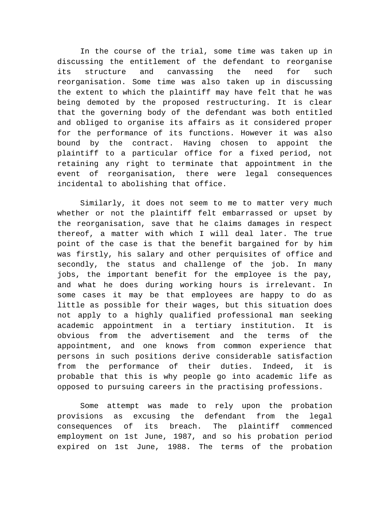In the course of the trial, some time was taken up in discussing the entitlement of the defendant to reorganise its structure and canvassing the need for such reorganisation. Some time was also taken up in discussing the extent to which the plaintiff may have felt that he was being demoted by the proposed restructuring. It is clear that the governing body of the defendant was both entitled and obliged to organise its affairs as it considered proper for the performance of its functions. However it was also bound by the contract. Having chosen to appoint the plaintiff to a particular office for a fixed period, not retaining any right to terminate that appointment in the event of reorganisation, there were legal consequences incidental to abolishing that office.

Similarly, it does not seem to me to matter very much whether or not the plaintiff felt embarrassed or upset by the reorganisation, save that he claims damages in respect thereof, a matter with which I will deal later. The true point of the case is that the benefit bargained for by him was firstly, his salary and other perquisites of office and secondly, the status and challenge of the job. In many jobs, the important benefit for the employee is the pay, and what he does during working hours is irrelevant. In some cases it may be that employees are happy to do as little as possible for their wages, but this situation does not apply to a highly qualified professional man seeking academic appointment in a tertiary institution. It is obvious from the advertisement and the terms of the appointment, and one knows from common experience that persons in such positions derive considerable satisfaction from the performance of their duties. Indeed, it is probable that this is why people go into academic life as opposed to pursuing careers in the practising professions.

Some attempt was made to rely upon the probation provisions as excusing the defendant from the legal consequences of its breach. The plaintiff commenced employment on 1st June, 1987, and so his probation period expired on 1st June, 1988. The terms of the probation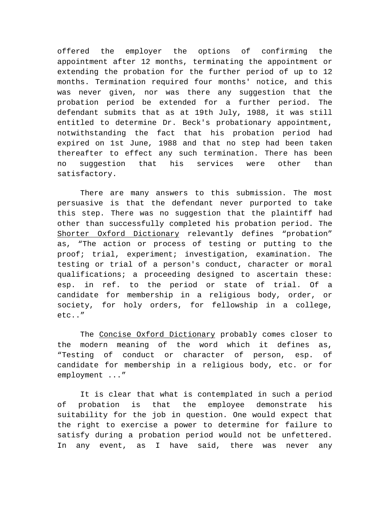offered the employer the options of confirming the appointment after 12 months, terminating the appointment or extending the probation for the further period of up to 12 months. Termination required four months' notice, and this was never given, nor was there any suggestion that the probation period be extended for a further period. The defendant submits that as at 19th July, 1988, it was still entitled to determine Dr. Beck's probationary appointment, notwithstanding the fact that his probation period had expired on 1st June, 1988 and that no step had been taken thereafter to effect any such termination. There has been no suggestion that his services were other than satisfactory.

There are many answers to this submission. The most persuasive is that the defendant never purported to take this step. There was no suggestion that the plaintiff had other than successfully completed his probation period. The Shorter Oxford Dictionary relevantly defines "probation" as, "The action or process of testing or putting to the proof; trial, experiment; investigation, examination. The testing or trial of a person's conduct, character or moral qualifications; a proceeding designed to ascertain these: esp. in ref. to the period or state of trial. Of a candidate for membership in a religious body, order, or society, for holy orders, for fellowship in a college, etc.."

The Concise Oxford Dictionary probably comes closer to the modern meaning of the word which it defines as, "Testing of conduct or character of person, esp. of candidate for membership in a religious body, etc. or for employment ..."

It is clear that what is contemplated in such a period of probation is that the employee demonstrate his suitability for the job in question. One would expect that the right to exercise a power to determine for failure to satisfy during a probation period would not be unfettered. In any event, as I have said, there was never any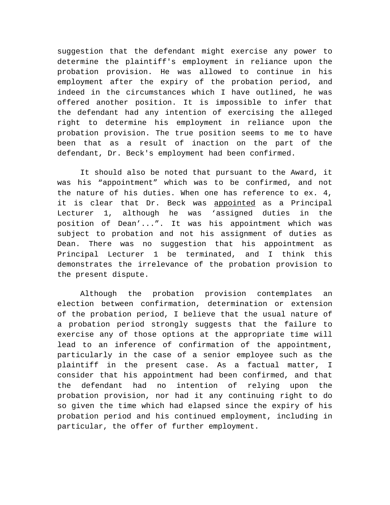suggestion that the defendant might exercise any power to determine the plaintiff's employment in reliance upon the probation provision. He was allowed to continue in his employment after the expiry of the probation period, and indeed in the circumstances which I have outlined, he was offered another position. It is impossible to infer that the defendant had any intention of exercising the alleged right to determine his employment in reliance upon the probation provision. The true position seems to me to have been that as a result of inaction on the part of the defendant, Dr. Beck's employment had been confirmed.

It should also be noted that pursuant to the Award, it was his "appointment" which was to be confirmed, and not the nature of his duties. When one has reference to ex. 4, it is clear that Dr. Beck was appointed as a Principal Lecturer 1, although he was 'assigned duties in the position of Dean'...". It was his appointment which was subject to probation and not his assignment of duties as Dean. There was no suggestion that his appointment as Principal Lecturer 1 be terminated, and I think this demonstrates the irrelevance of the probation provision to the present dispute.

Although the probation provision contemplates an election between confirmation, determination or extension of the probation period, I believe that the usual nature of a probation period strongly suggests that the failure to exercise any of those options at the appropriate time will lead to an inference of confirmation of the appointment, particularly in the case of a senior employee such as the plaintiff in the present case. As a factual matter, I consider that his appointment had been confirmed, and that the defendant had no intention of relying upon the probation provision, nor had it any continuing right to do so given the time which had elapsed since the expiry of his probation period and his continued employment, including in particular, the offer of further employment.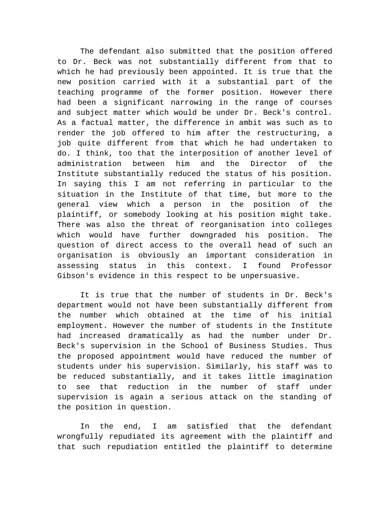The defendant also submitted that the position offered to Dr. Beck was not substantially different from that to which he had previously been appointed. It is true that the new position carried with it a substantial part of the teaching programme of the former position. However there had been a significant narrowing in the range of courses and subject matter which would be under Dr. Beck's control. As a factual matter, the difference in ambit was such as to render the job offered to him after the restructuring, a job quite different from that which he had undertaken to do. I think, too that the interposition of another level of administration between him and the Director of the Institute substantially reduced the status of his position. In saying this I am not referring in particular to the situation in the Institute of that time, but more to the general view which a person in the position of the plaintiff, or somebody looking at his position might take. There was also the threat of reorganisation into colleges which would have further downgraded his position. The question of direct access to the overall head of such an organisation is obviously an important consideration in assessing status in this context. I found Professor Gibson's evidence in this respect to be unpersuasive.

It is true that the number of students in Dr. Beck's department would not have been substantially different from the number which obtained at the time of his initial employment. However the number of students in the Institute had increased dramatically as had the number under Dr. Beck's supervision in the School of Business Studies. Thus the proposed appointment would have reduced the number of students under his supervision. Similarly, his staff was to be reduced substantially, and it takes little imagination to see that reduction in the number of staff under supervision is again a serious attack on the standing of the position in question.

In the end, I am satisfied that the defendant wrongfully repudiated its agreement with the plaintiff and that such repudiation entitled the plaintiff to determine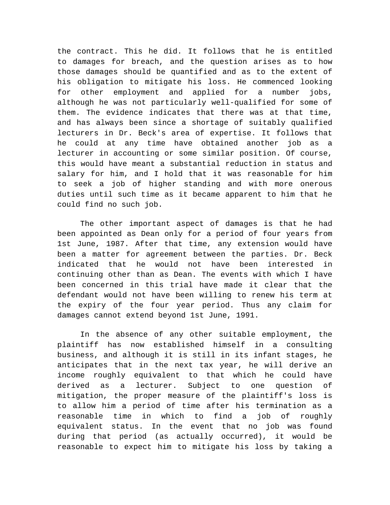the contract. This he did. It follows that he is entitled to damages for breach, and the question arises as to how those damages should be quantified and as to the extent of his obligation to mitigate his loss. He commenced looking for other employment and applied for a number jobs, although he was not particularly well-qualified for some of them. The evidence indicates that there was at that time, and has always been since a shortage of suitably qualified lecturers in Dr. Beck's area of expertise. It follows that he could at any time have obtained another job as a lecturer in accounting or some similar position. Of course, this would have meant a substantial reduction in status and salary for him, and I hold that it was reasonable for him to seek a job of higher standing and with more onerous duties until such time as it became apparent to him that he could find no such job.

The other important aspect of damages is that he had been appointed as Dean only for a period of four years from 1st June, 1987. After that time, any extension would have been a matter for agreement between the parties. Dr. Beck indicated that he would not have been interested in continuing other than as Dean. The events with which I have been concerned in this trial have made it clear that the defendant would not have been willing to renew his term at the expiry of the four year period. Thus any claim for damages cannot extend beyond 1st June, 1991.

In the absence of any other suitable employment, the plaintiff has now established himself in a consulting business, and although it is still in its infant stages, he anticipates that in the next tax year, he will derive an income roughly equivalent to that which he could have derived as a lecturer. Subject to one question of mitigation, the proper measure of the plaintiff's loss is to allow him a period of time after his termination as a reasonable time in which to find a job of roughly equivalent status. In the event that no job was found during that period (as actually occurred), it would be reasonable to expect him to mitigate his loss by taking a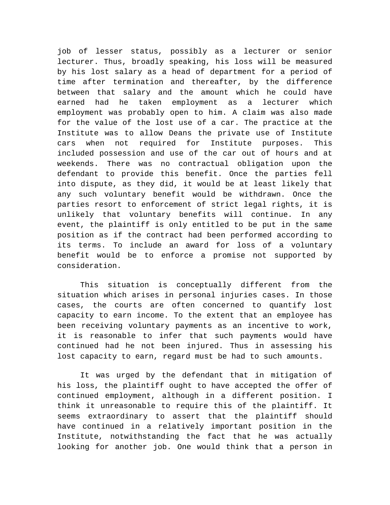job of lesser status, possibly as a lecturer or senior lecturer. Thus, broadly speaking, his loss will be measured by his lost salary as a head of department for a period of time after termination and thereafter, by the difference between that salary and the amount which he could have earned had he taken employment as a lecturer which employment was probably open to him. A claim was also made for the value of the lost use of a car. The practice at the Institute was to allow Deans the private use of Institute cars when not required for Institute purposes. This included possession and use of the car out of hours and at weekends. There was no contractual obligation upon the defendant to provide this benefit. Once the parties fell into dispute, as they did, it would be at least likely that any such voluntary benefit would be withdrawn. Once the parties resort to enforcement of strict legal rights, it is unlikely that voluntary benefits will continue. In any event, the plaintiff is only entitled to be put in the same position as if the contract had been performed according to its terms. To include an award for loss of a voluntary benefit would be to enforce a promise not supported by consideration.

This situation is conceptually different from the situation which arises in personal injuries cases. In those cases, the courts are often concerned to quantify lost capacity to earn income. To the extent that an employee has been receiving voluntary payments as an incentive to work, it is reasonable to infer that such payments would have continued had he not been injured. Thus in assessing his lost capacity to earn, regard must be had to such amounts.

It was urged by the defendant that in mitigation of his loss, the plaintiff ought to have accepted the offer of continued employment, although in a different position. I think it unreasonable to require this of the plaintiff. It seems extraordinary to assert that the plaintiff should have continued in a relatively important position in the Institute, notwithstanding the fact that he was actually looking for another job. One would think that a person in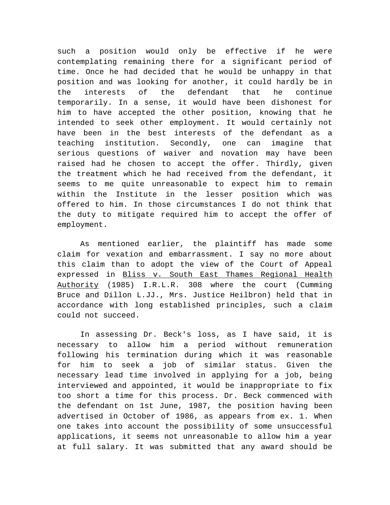such a position would only be effective if he were contemplating remaining there for a significant period of time. Once he had decided that he would be unhappy in that position and was looking for another, it could hardly be in the interests of the defendant that he continue temporarily. In a sense, it would have been dishonest for him to have accepted the other position, knowing that he intended to seek other employment. It would certainly not have been in the best interests of the defendant as a teaching institution. Secondly, one can imagine that serious questions of waiver and novation may have been raised had he chosen to accept the offer. Thirdly, given the treatment which he had received from the defendant, it seems to me quite unreasonable to expect him to remain within the Institute in the lesser position which was offered to him. In those circumstances I do not think that the duty to mitigate required him to accept the offer of employment.

As mentioned earlier, the plaintiff has made some claim for vexation and embarrassment. I say no more about this claim than to adopt the view of the Court of Appeal expressed in Bliss v. South East Thames Regional Health Authority (1985) I.R.L.R. 308 where the court (Cumming Bruce and Dillon L.JJ., Mrs. Justice Heilbron) held that in accordance with long established principles, such a claim could not succeed.

In assessing Dr. Beck's loss, as I have said, it is necessary to allow him a period without remuneration following his termination during which it was reasonable for him to seek a job of similar status. Given the necessary lead time involved in applying for a job, being interviewed and appointed, it would be inappropriate to fix too short a time for this process. Dr. Beck commenced with the defendant on 1st June, 1987, the position having been advertised in October of 1986, as appears from ex. 1. When one takes into account the possibility of some unsuccessful applications, it seems not unreasonable to allow him a year at full salary. It was submitted that any award should be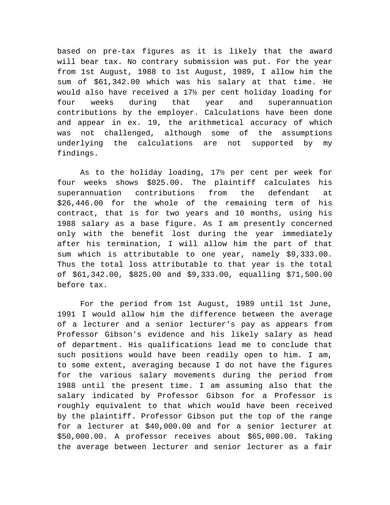based on pre-tax figures as it is likely that the award will bear tax. No contrary submission was put. For the year from 1st August, 1988 to 1st August, 1989, I allow him the sum of \$61,342.00 which was his salary at that time. He would also have received a 17½ per cent holiday loading for four weeks during that year and superannuation contributions by the employer. Calculations have been done and appear in ex. 19, the arithmetical accuracy of which was not challenged, although some of the assumptions underlying the calculations are not supported by my findings.

As to the holiday loading, 17½ per cent per week for four weeks shows \$825.00. The plaintiff calculates his superannuation contributions from the defendant at \$26,446.00 for the whole of the remaining term of his contract, that is for two years and 10 months, using his 1988 salary as a base figure. As I am presently concerned only with the benefit lost during the year immediately after his termination, I will allow him the part of that sum which is attributable to one year, namely \$9,333.00. Thus the total loss attributable to that year is the total of \$61,342.00, \$825.00 and \$9,333.00, equalling \$71,500.00 before tax.

For the period from 1st August, 1989 until 1st June, 1991 I would allow him the difference between the average of a lecturer and a senior lecturer's pay as appears from Professor Gibson's evidence and his likely salary as head of department. His qualifications lead me to conclude that such positions would have been readily open to him. I am, to some extent, averaging because I do not have the figures for the various salary movements during the period from 1988 until the present time. I am assuming also that the salary indicated by Professor Gibson for a Professor is roughly equivalent to that which would have been received by the plaintiff. Professor Gibson put the top of the range for a lecturer at \$40,000.00 and for a senior lecturer at \$50,000.00. A professor receives about \$65,000.00. Taking the average between lecturer and senior lecturer as a fair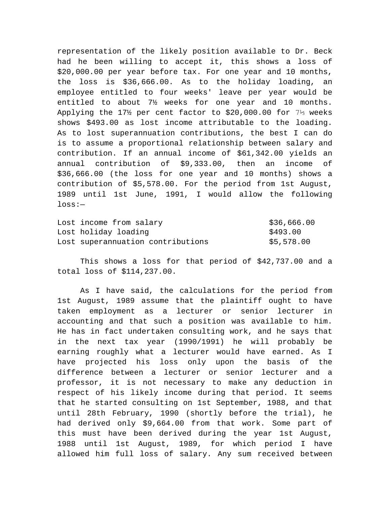representation of the likely position available to Dr. Beck had he been willing to accept it, this shows a loss of \$20,000.00 per year before tax. For one year and 10 months, the loss is \$36,666.00. As to the holiday loading, an employee entitled to four weeks' leave per year would be entitled to about 7½ weeks for one year and 10 months. Applying the 17½ per cent factor to \$20,000.00 for 7⅓ weeks shows \$493.00 as lost income attributable to the loading. As to lost superannuation contributions, the best I can do is to assume a proportional relationship between salary and contribution. If an annual income of \$61,342.00 yields an annual contribution of \$9,333.00, then an income of \$36,666.00 (the loss for one year and 10 months) shows a contribution of \$5,578.00. For the period from 1st August, 1989 until 1st June, 1991, I would allow the following loss:—

| Lost income from salary           | \$36,666.00 |
|-----------------------------------|-------------|
| Lost holiday loading              | \$493.00    |
| Lost superannuation contributions | \$5,578.00  |

This shows a loss for that period of \$42,737.00 and a total loss of \$114,237.00.

As I have said, the calculations for the period from 1st August, 1989 assume that the plaintiff ought to have taken employment as a lecturer or senior lecturer in accounting and that such a position was available to him. He has in fact undertaken consulting work, and he says that in the next tax year (1990/1991) he will probably be earning roughly what a lecturer would have earned. As I have projected his loss only upon the basis of the difference between a lecturer or senior lecturer and a professor, it is not necessary to make any deduction in respect of his likely income during that period. It seems that he started consulting on 1st September, 1988, and that until 28th February, 1990 (shortly before the trial), he had derived only \$9,664.00 from that work. Some part of this must have been derived during the year 1st August, 1988 until 1st August, 1989, for which period I have allowed him full loss of salary. Any sum received between